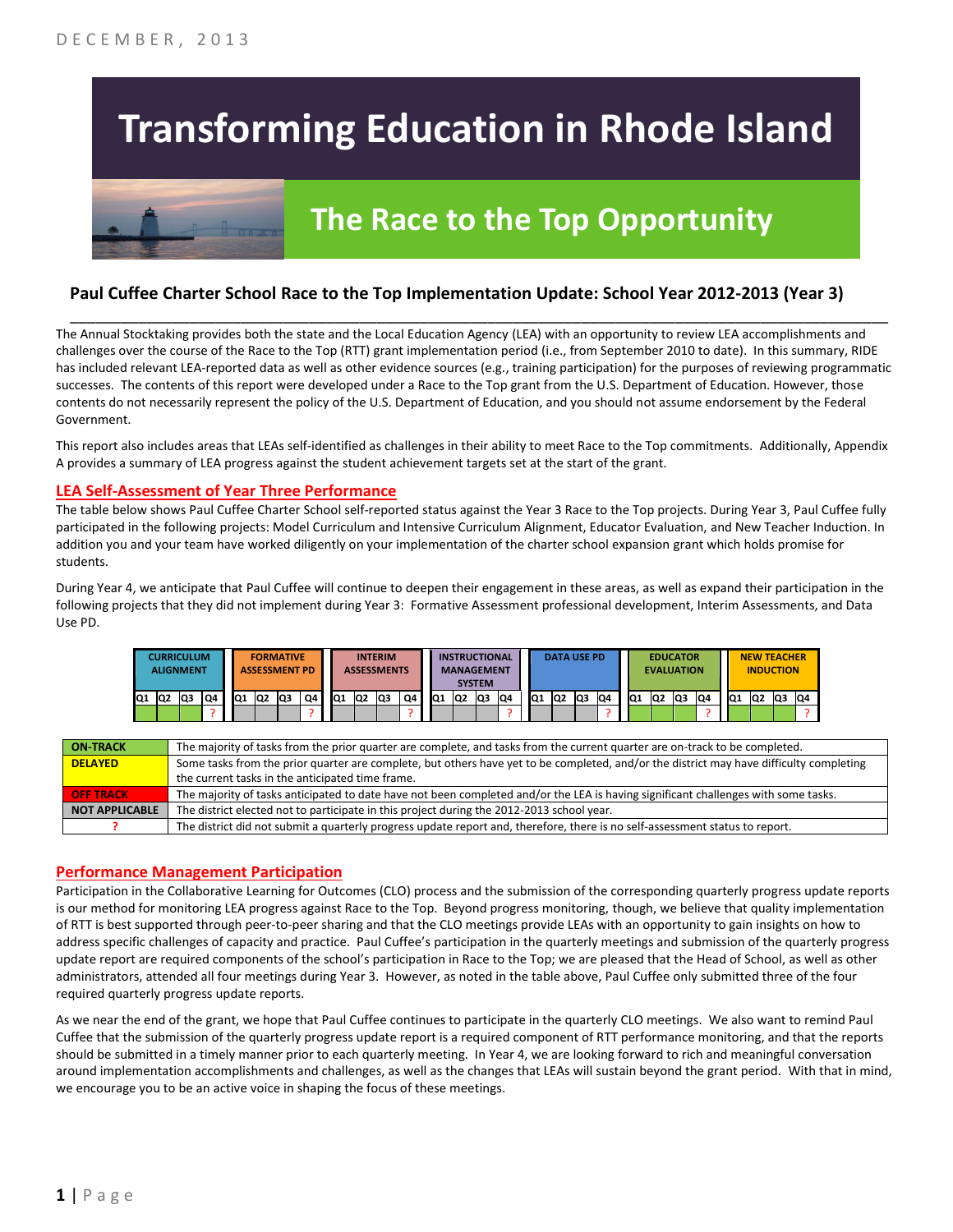# **Transforming Education in Rhode Island**



# **The Race to the Top Opportunity**

### **Paul Cuffee Charter School Race to the Top Implementation Update: School Year 2012-2013 (Year 3)**

The Annual Stocktaking provides both the state and the Local Education Agency (LEA) with an opportunity to review LEA accomplishments and challenges over the course of the Race to the Top (RTT) grant implementation period (i.e., from September 2010 to date). In this summary, RIDE has included relevant LEA-reported data as well as other evidence sources (e.g., training participation) for the purposes of reviewing programmatic successes. The contents of this report were developed under a Race to the Top grant from the U.S. Department of Education. However, those contents do not necessarily represent the policy of the U.S. Department of Education, and you should not assume endorsement by the Federal Government.

\_\_\_\_\_\_\_\_\_\_\_\_\_\_\_\_\_\_\_\_\_\_\_\_\_\_\_\_\_\_\_\_\_\_\_\_\_\_\_\_\_\_\_\_\_\_\_\_\_\_\_\_\_\_\_\_\_\_\_\_\_\_\_\_\_\_\_\_\_\_\_\_\_\_\_\_\_\_\_\_\_\_\_\_\_\_\_\_\_\_\_\_\_\_\_\_

This report also includes areas that LEAs self-identified as challenges in their ability to meet Race to the Top commitments. Additionally, Appendix A provides a summary of LEA progress against the student achievement targets set at the start of the grant.

#### **LEA Self-Assessment of Year Three Performance**

The table below shows Paul Cuffee Charter School self-reported status against the Year 3 Race to the Top projects. During Year 3, Paul Cuffee fully participated in the following projects: Model Curriculum and Intensive Curriculum Alignment, Educator Evaluation, and New Teacher Induction. In addition you and your team have worked diligently on your implementation of the charter school expansion grant which holds promise for students.

During Year 4, we anticipate that Paul Cuffee will continue to deepen their engagement in these areas, as well as expand their participation in the following projects that they did not implement during Year 3: Formative Assessment professional development, Interim Assessments, and Data Use PD.

|     | <b>CURRICULUM</b><br><b>ALIGNMENT</b> |    |    |     | <b>FORMATIVE</b><br><b>ASSESSMENT PD</b> |     |     |                 |                 | <b>INTERIM</b><br><b>ASSESSMENTS</b> |                          |                 | <b>INSTRUCTIONAL</b><br><b>MANAGEMENT</b> | <b>SYSTEM</b> |    |    |                | <b>DATA USE PD</b> |    |     |                | <b>EDUCATOR</b><br><b>EVALUATION</b> |    |                 | <b>NEW TEACHER</b><br><b>INDUCTION</b> |    |     |
|-----|---------------------------------------|----|----|-----|------------------------------------------|-----|-----|-----------------|-----------------|--------------------------------------|--------------------------|-----------------|-------------------------------------------|---------------|----|----|----------------|--------------------|----|-----|----------------|--------------------------------------|----|-----------------|----------------------------------------|----|-----|
| lQ1 | Q <sub>2</sub>                        | Q3 | Q4 | lQ1 | Q <sub>2</sub>                           | IQ3 | Q4. | IQ <sub>1</sub> | IQ <sub>2</sub> | lQ3                                  | Q4                       | IQ <sub>1</sub> | lQ2                                       | lQ3           | Q4 | Q1 | Q <sub>2</sub> | Q <sub>3</sub>     | Q4 | IQ1 | Q <sub>2</sub> | IQ <sub>3</sub>                      | Q4 | IQ <sub>1</sub> | lQ2                                    | Q3 | IQ4 |
|     |                                       |    |    |     |                                          |     |     |                 |                 |                                      | $\overline{\phantom{a}}$ |                 |                                           |               |    |    |                |                    |    |     |                |                                      |    |                 |                                        |    |     |

| <b>ON TRACK</b>       | The majority of tasks from the prior quarter are complete, and tasks from the current quarter are on-track to be completed.             |
|-----------------------|-----------------------------------------------------------------------------------------------------------------------------------------|
| <b>DELAYED</b>        | Some tasks from the prior quarter are complete, but others have yet to be completed, and/or the district may have difficulty completing |
|                       | the current tasks in the anticipated time frame.                                                                                        |
| <b>OFF TRACK</b>      | The majority of tasks anticipated to date have not been completed and/or the LEA is having significant challenges with some tasks.      |
| <b>NOT APPLICABLE</b> | The district elected not to participate in this project during the 2012-2013 school year.                                               |
|                       | The district did not submit a quarterly progress update report and, therefore, there is no self-assessment status to report.            |

#### **Performance Management Participation**

Participation in the Collaborative Learning for Outcomes (CLO) process and the submission of the corresponding quarterly progress update reports is our method for monitoring LEA progress against Race to the Top. Beyond progress monitoring, though, we believe that quality implementation of RTT is best supported through peer-to-peer sharing and that the CLO meetings provide LEAs with an opportunity to gain insights on how to address specific challenges of capacity and practice. Paul Cuffee's participation in the quarterly meetings and submission of the quarterly progress update report are required components of the school's participation in Race to the Top; we are pleased that the Head of School, as well as other administrators, attended all four meetings during Year 3. However, as noted in the table above, Paul Cuffee only submitted three of the four required quarterly progress update reports.

As we near the end of the grant, we hope that Paul Cuffee continues to participate in the quarterly CLO meetings. We also want to remind Paul Cuffee that the submission of the quarterly progress update report is a required component of RTT performance monitoring, and that the reports should be submitted in a timely manner prior to each quarterly meeting. In Year 4, we are looking forward to rich and meaningful conversation around implementation accomplishments and challenges, as well as the changes that LEAs will sustain beyond the grant period. With that in mind, we encourage you to be an active voice in shaping the focus of these meetings.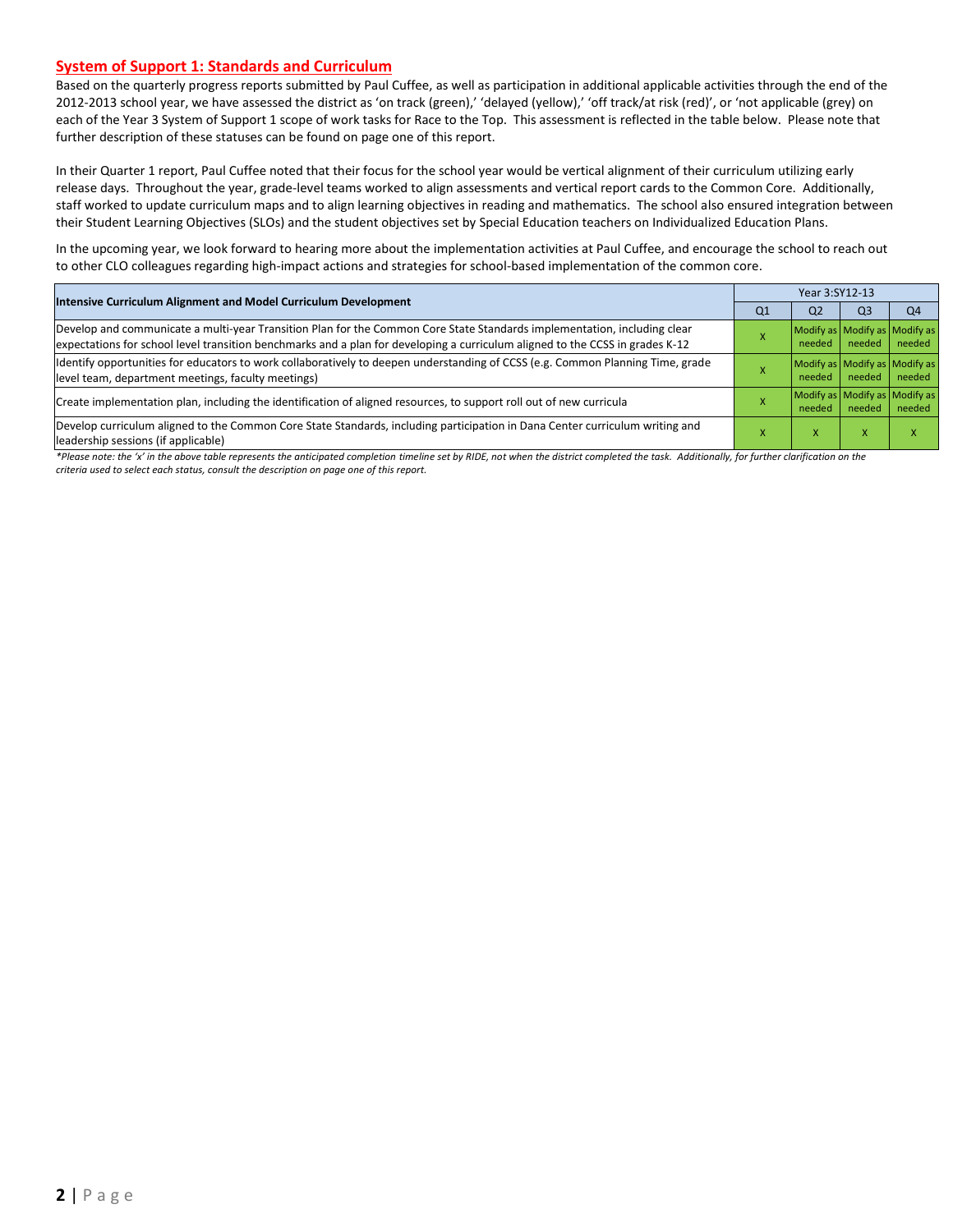#### **System of Support 1: Standards and Curriculum**

Based on the quarterly progress reports submitted by Paul Cuffee, as well as participation in additional applicable activities through the end of the 2012-2013 school year, we have assessed the district as 'on track (green),' 'delayed (yellow),' 'off track/at risk (red)', or 'not applicable (grey) on each of the Year 3 System of Support 1 scope of work tasks for Race to the Top. This assessment is reflected in the table below. Please note that further description of these statuses can be found on page one of this report.

In their Quarter 1 report, Paul Cuffee noted that their focus for the school year would be vertical alignment of their curriculum utilizing early release days. Throughout the year, grade-level teams worked to align assessments and vertical report cards to the Common Core. Additionally, staff worked to update curriculum maps and to align learning objectives in reading and mathematics. The school also ensured integration between their Student Learning Objectives (SLOs) and the student objectives set by Special Education teachers on Individualized Education Plans.

In the upcoming year, we look forward to hearing more about the implementation activities at Paul Cuffee, and encourage the school to reach out to other CLO colleagues regarding high-impact actions and strategies for school-based implementation of the common core.

| <b>Intensive Curriculum Alignment and Model Curriculum Development</b>                                                                                                                                                                                    |                | Year 3:SY12-13 |                |                                         |  |  |  |
|-----------------------------------------------------------------------------------------------------------------------------------------------------------------------------------------------------------------------------------------------------------|----------------|----------------|----------------|-----------------------------------------|--|--|--|
|                                                                                                                                                                                                                                                           | Q <sub>1</sub> | Q <sub>2</sub> | Q <sub>3</sub> | Q <sub>4</sub>                          |  |  |  |
| Develop and communicate a multi-year Transition Plan for the Common Core State Standards implementation, including clear<br>expectations for school level transition benchmarks and a plan for developing a curriculum aligned to the CCSS in grades K-12 |                | needed         | needed         | Modify as Modify as Modify as<br>needed |  |  |  |
| Identify opportunities for educators to work collaboratively to deepen understanding of CCSS (e.g. Common Planning Time, grade<br>level team, department meetings, faculty meetings)                                                                      |                | needed         | needed         | Modify as Modify as Modify as<br>needed |  |  |  |
| Create implementation plan, including the identification of aligned resources, to support roll out of new curricula                                                                                                                                       |                | needed         | needed         | Modify as Modify as Modify as<br>needed |  |  |  |
| Develop curriculum aligned to the Common Core State Standards, including participation in Dana Center curriculum writing and<br>leadership sessions (if applicable)                                                                                       |                | x              | x              |                                         |  |  |  |

\*Please note: the 'x' in the above table represents the anticipated completion timeline set by RIDE, not when the district completed the task. Additionally, for further clarification on the *criteria used to select each status, consult the description on page one of this report.*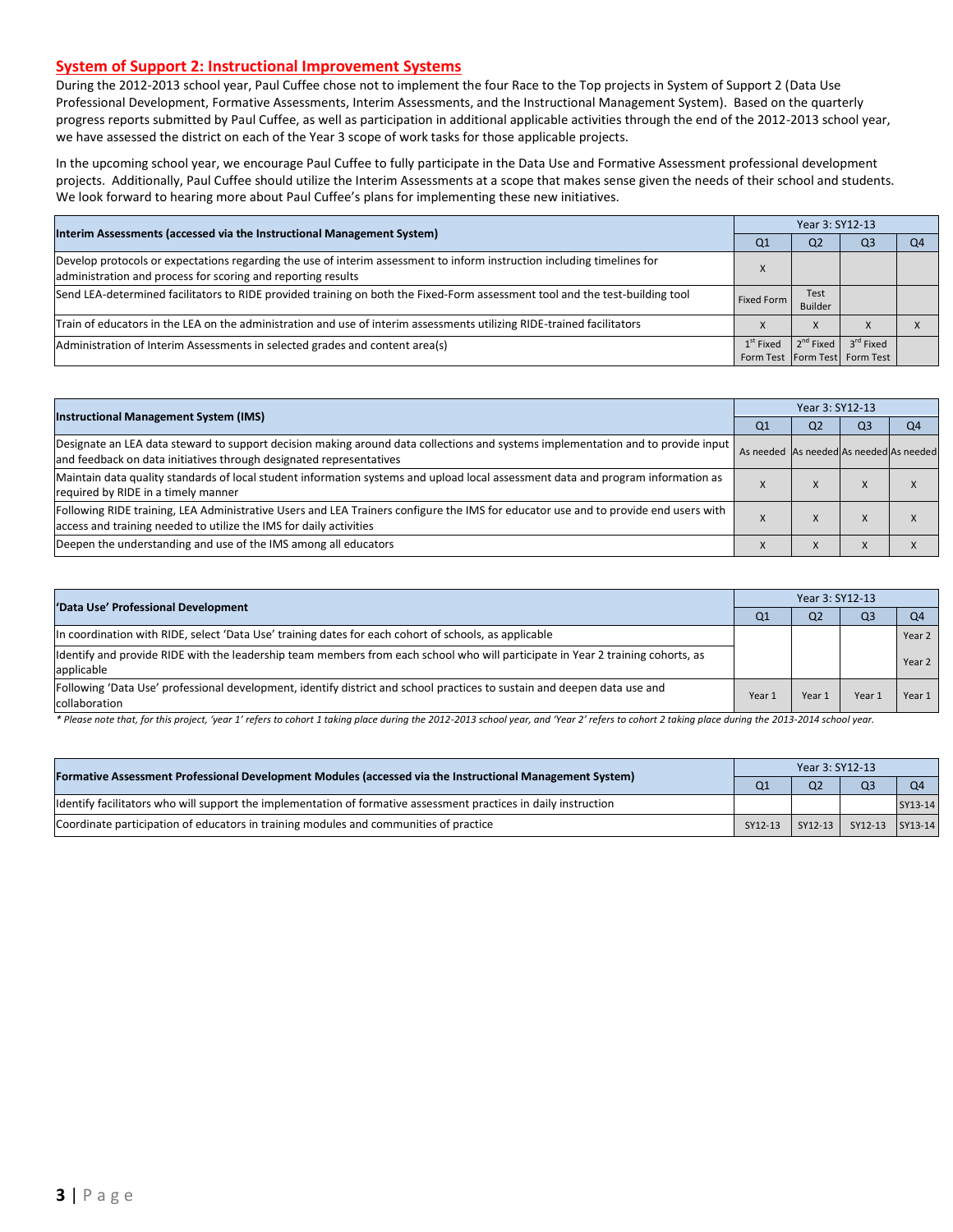#### **System of Support 2: Instructional Improvement Systems**

During the 2012-2013 school year, Paul Cuffee chose not to implement the four Race to the Top projects in System of Support 2 (Data Use Professional Development, Formative Assessments, Interim Assessments, and the Instructional Management System). Based on the quarterly progress reports submitted by Paul Cuffee, as well as participation in additional applicable activities through the end of the 2012-2013 school year, we have assessed the district on each of the Year 3 scope of work tasks for those applicable projects.

In the upcoming school year, we encourage Paul Cuffee to fully participate in the Data Use and Formative Assessment professional development projects. Additionally, Paul Cuffee should utilize the Interim Assessments at a scope that makes sense given the needs of their school and students. We look forward to hearing more about Paul Cuffee's plans for implementing these new initiatives.

| Interim Assessments (accessed via the Instructional Management System)                                                                                                                  | Year 3: SY12-13 |                       |                                                            |  |  |  |
|-----------------------------------------------------------------------------------------------------------------------------------------------------------------------------------------|-----------------|-----------------------|------------------------------------------------------------|--|--|--|
|                                                                                                                                                                                         | Q1              | Q <sub>2</sub>        | Q3                                                         |  |  |  |
| Develop protocols or expectations regarding the use of interim assessment to inform instruction including timelines for<br>administration and process for scoring and reporting results |                 |                       |                                                            |  |  |  |
| Send LEA-determined facilitators to RIDE provided training on both the Fixed-Form assessment tool and the test-building tool                                                            | Fixed Form      | Test<br>Builder       |                                                            |  |  |  |
| Train of educators in the LEA on the administration and use of interim assessments utilizing RIDE-trained facilitators                                                                  |                 | $\lambda$             |                                                            |  |  |  |
| Administration of Interim Assessments in selected grades and content area(s)                                                                                                            | $1st$ Fixed     | 2 <sup>nd</sup> Fixed | $3^{\text{rd}}$ Fixed<br>Form Test   Form Test   Form Test |  |  |  |

| <b>Instructional Management System (IMS)</b>                                                                                                                                                              |                                         | Year 3: SY12-13 |                |                |  |  |  |
|-----------------------------------------------------------------------------------------------------------------------------------------------------------------------------------------------------------|-----------------------------------------|-----------------|----------------|----------------|--|--|--|
|                                                                                                                                                                                                           | Q1                                      | Q <sub>2</sub>  | Q <sub>3</sub> | Q <sub>4</sub> |  |  |  |
| Designate an LEA data steward to support decision making around data collections and systems implementation and to provide input<br>and feedback on data initiatives through designated representatives   | As needed As needed As needed As needed |                 |                |                |  |  |  |
| Maintain data quality standards of local student information systems and upload local assessment data and program information as<br>required by RIDE in a timely manner                                   |                                         | $\lambda$       | л              |                |  |  |  |
| Following RIDE training, LEA Administrative Users and LEA Trainers configure the IMS for educator use and to provide end users with<br>access and training needed to utilize the IMS for daily activities |                                         |                 | л              |                |  |  |  |
| Deepen the understanding and use of the IMS among all educators                                                                                                                                           |                                         | $\lambda$       |                |                |  |  |  |

| 'Data Use' Professional Development                                                                                                           | Year 3: SY12-13 |                |                |                |  |  |
|-----------------------------------------------------------------------------------------------------------------------------------------------|-----------------|----------------|----------------|----------------|--|--|
|                                                                                                                                               | Q <sub>1</sub>  | Q <sub>2</sub> | Q <sub>3</sub> | O <sub>4</sub> |  |  |
| In coordination with RIDE, select 'Data Use' training dates for each cohort of schools, as applicable                                         |                 |                |                | Year 2         |  |  |
| Identify and provide RIDE with the leadership team members from each school who will participate in Year 2 training cohorts, as<br>applicable |                 |                |                | Year 2         |  |  |
| Following 'Data Use' professional development, identify district and school practices to sustain and deepen data use and<br>collaboration     | Year 1          | Year 1         | Year:          | Year $1$       |  |  |

\* Please note that, for this project, 'year 1' refers to cohort 1 taking place during the 2012-2013 school year, and 'Year 2' refers to cohort 2 taking place during the 2013-2014 school year.

| [Formative Assessment Professional Development Modules (accessed via the Instructional Management System)        |         | Year 3: SY12-13 |                         |                |  |  |
|------------------------------------------------------------------------------------------------------------------|---------|-----------------|-------------------------|----------------|--|--|
|                                                                                                                  |         | Q <sub>2</sub>  | Q <sub>3</sub>          | O <sub>4</sub> |  |  |
| Identify facilitators who will support the implementation of formative assessment practices in daily instruction |         |                 |                         | SY13-14        |  |  |
| Coordinate participation of educators in training modules and communities of practice                            | SY12-13 |                 | SY12-13 SY12-13 SY13-14 |                |  |  |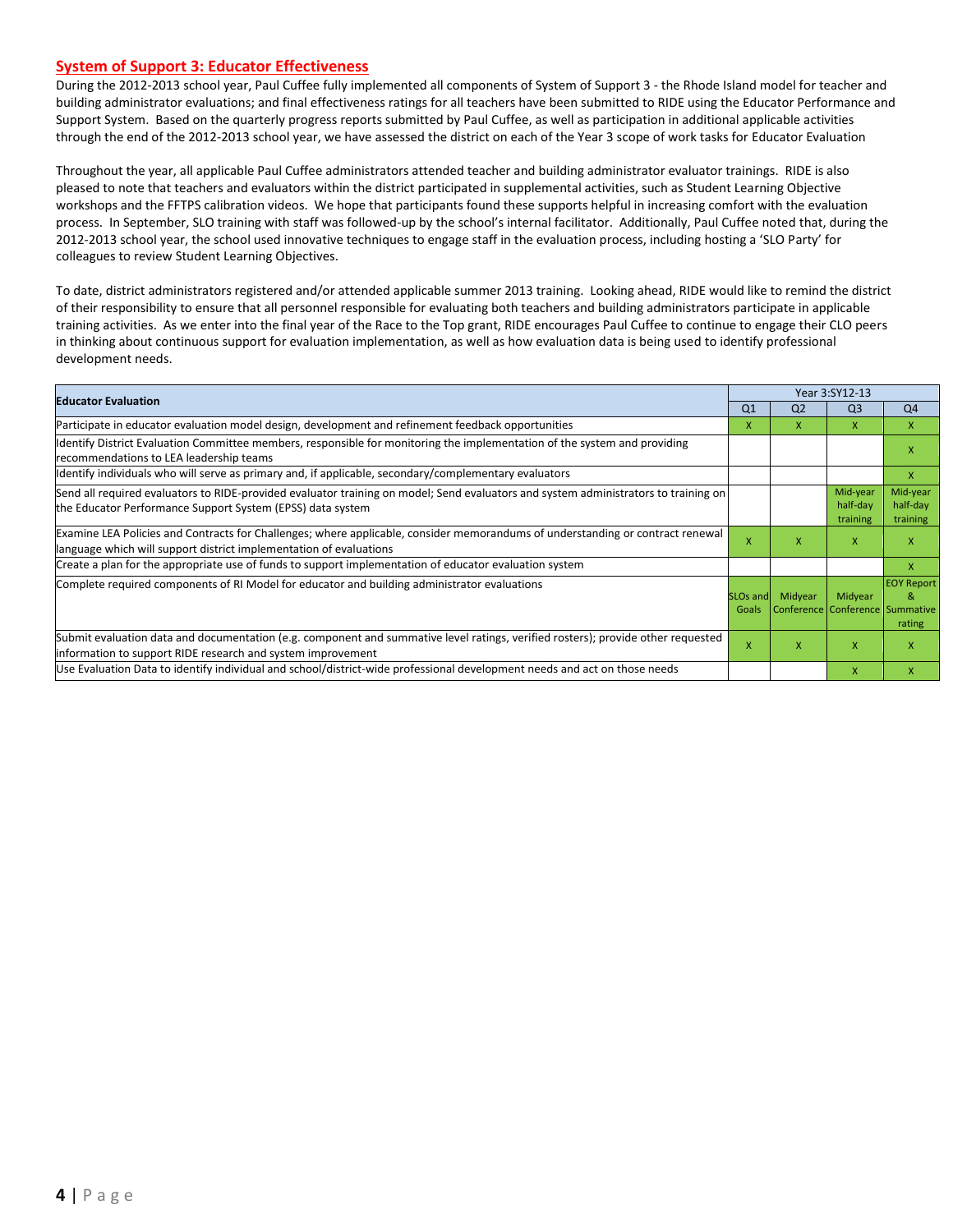#### **System of Support 3: Educator Effectiveness**

During the 2012-2013 school year, Paul Cuffee fully implemented all components of System of Support 3 - the Rhode Island model for teacher and building administrator evaluations; and final effectiveness ratings for all teachers have been submitted to RIDE using the Educator Performance and Support System. Based on the quarterly progress reports submitted by Paul Cuffee, as well as participation in additional applicable activities through the end of the 2012-2013 school year, we have assessed the district on each of the Year 3 scope of work tasks for Educator Evaluation

Throughout the year, all applicable Paul Cuffee administrators attended teacher and building administrator evaluator trainings. RIDE is also pleased to note that teachers and evaluators within the district participated in supplemental activities, such as Student Learning Objective workshops and the FFTPS calibration videos. We hope that participants found these supports helpful in increasing comfort with the evaluation process. In September, SLO training with staff was followed-up by the school's internal facilitator. Additionally, Paul Cuffee noted that, during the 2012-2013 school year, the school used innovative techniques to engage staff in the evaluation process, including hosting a 'SLO Party' for colleagues to review Student Learning Objectives.

To date, district administrators registered and/or attended applicable summer 2013 training. Looking ahead, RIDE would like to remind the district of their responsibility to ensure that all personnel responsible for evaluating both teachers and building administrators participate in applicable training activities. As we enter into the final year of the Race to the Top grant, RIDE encourages Paul Cuffee to continue to engage their CLO peers in thinking about continuous support for evaluation implementation, as well as how evaluation data is being used to identify professional development needs.

| <b>Educator Evaluation</b>                                                                                                                                                                           |                           |                | Year 3:SY12-13                             |                                  |  |
|------------------------------------------------------------------------------------------------------------------------------------------------------------------------------------------------------|---------------------------|----------------|--------------------------------------------|----------------------------------|--|
|                                                                                                                                                                                                      | Q <sub>1</sub>            | Q <sub>2</sub> | Q <sub>3</sub>                             | Q <sub>4</sub>                   |  |
| Participate in educator evaluation model design, development and refinement feedback opportunities                                                                                                   | x                         | X.             | $\mathsf{X}$                               | $\mathsf{x}$                     |  |
| Identify District Evaluation Committee members, responsible for monitoring the implementation of the system and providing<br>recommendations to LEA leadership teams                                 |                           |                |                                            | x                                |  |
| ldentify individuals who will serve as primary and, if applicable, secondary/complementary evaluators                                                                                                |                           |                |                                            | X                                |  |
| Send all required evaluators to RIDE-provided evaluator training on model; Send evaluators and system administrators to training on<br>the Educator Performance Support System (EPSS) data system    |                           |                | Mid-year<br>half-day<br>training           | Mid-year<br>half-day<br>training |  |
| Examine LEA Policies and Contracts for Challenges; where applicable, consider memorandums of understanding or contract renewal<br>language which will support district implementation of evaluations | $\boldsymbol{\mathsf{x}}$ | x              | $\mathsf{x}$                               | X                                |  |
| Create a plan for the appropriate use of funds to support implementation of educator evaluation system                                                                                               |                           |                |                                            | X                                |  |
| Complete required components of RI Model for educator and building administrator evaluations                                                                                                         | <b>SLOs and</b><br>Goals  | Midyear        | Midyear<br>Conference Conference Summative | <b>EOY Report</b><br>&<br>rating |  |
| Submit evaluation data and documentation (e.g. component and summative level ratings, verified rosters); provide other requested<br>information to support RIDE research and system improvement      | $\mathsf{x}$              | x              | $\mathsf{x}$                               | X                                |  |
| Use Evaluation Data to identify individual and school/district-wide professional development needs and act on those needs                                                                            |                           |                | X                                          | X                                |  |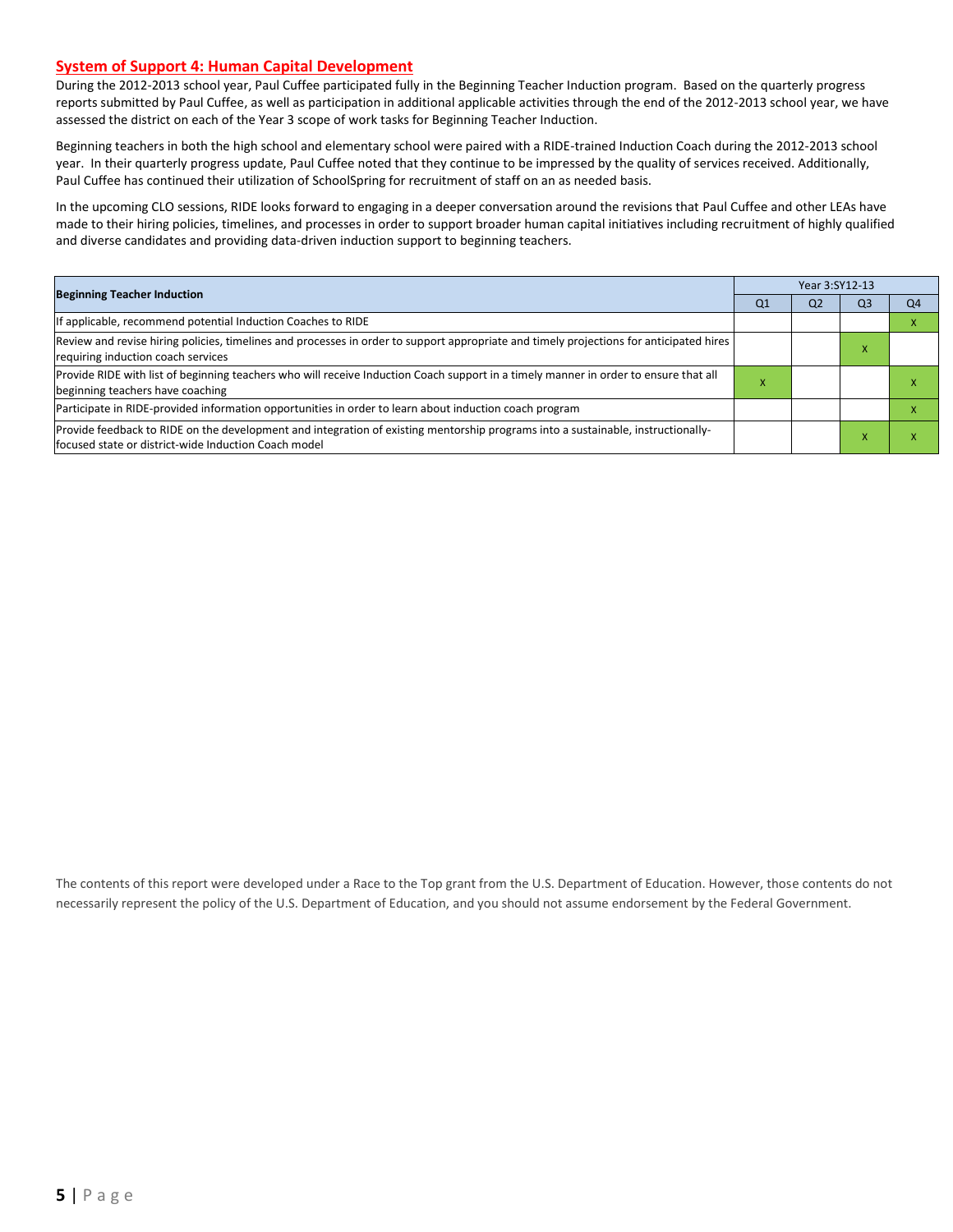#### **System of Support 4: Human Capital Development**

During the 2012-2013 school year, Paul Cuffee participated fully in the Beginning Teacher Induction program. Based on the quarterly progress reports submitted by Paul Cuffee, as well as participation in additional applicable activities through the end of the 2012-2013 school year, we have assessed the district on each of the Year 3 scope of work tasks for Beginning Teacher Induction.

Beginning teachers in both the high school and elementary school were paired with a RIDE-trained Induction Coach during the 2012-2013 school year. In their quarterly progress update, Paul Cuffee noted that they continue to be impressed by the quality of services received. Additionally, Paul Cuffee has continued their utilization of SchoolSpring for recruitment of staff on an as needed basis.

In the upcoming CLO sessions, RIDE looks forward to engaging in a deeper conversation around the revisions that Paul Cuffee and other LEAs have made to their hiring policies, timelines, and processes in order to support broader human capital initiatives including recruitment of highly qualified and diverse candidates and providing data-driven induction support to beginning teachers.

| <b>Beginning Teacher Induction</b>                                                                                                                                                        |    | Year 3:SY12-13 |                |                |  |  |  |
|-------------------------------------------------------------------------------------------------------------------------------------------------------------------------------------------|----|----------------|----------------|----------------|--|--|--|
|                                                                                                                                                                                           | Q1 | Q <sub>2</sub> | Q <sub>3</sub> | Q <sub>4</sub> |  |  |  |
| If applicable, recommend potential Induction Coaches to RIDE                                                                                                                              |    |                |                |                |  |  |  |
| Review and revise hiring policies, timelines and processes in order to support appropriate and timely projections for anticipated hires<br>requiring induction coach services             |    |                |                |                |  |  |  |
| Provide RIDE with list of beginning teachers who will receive Induction Coach support in a timely manner in order to ensure that all<br>beginning teachers have coaching                  | X  |                |                |                |  |  |  |
| Participate in RIDE-provided information opportunities in order to learn about induction coach program                                                                                    |    |                |                |                |  |  |  |
| Provide feedback to RIDE on the development and integration of existing mentorship programs into a sustainable, instructionally-<br>lfocused state or district-wide Induction Coach model |    |                |                |                |  |  |  |

The contents of this report were developed under a Race to the Top grant from the U.S. Department of Education. However, those contents do not necessarily represent the policy of the U.S. Department of Education, and you should not assume endorsement by the Federal Government.